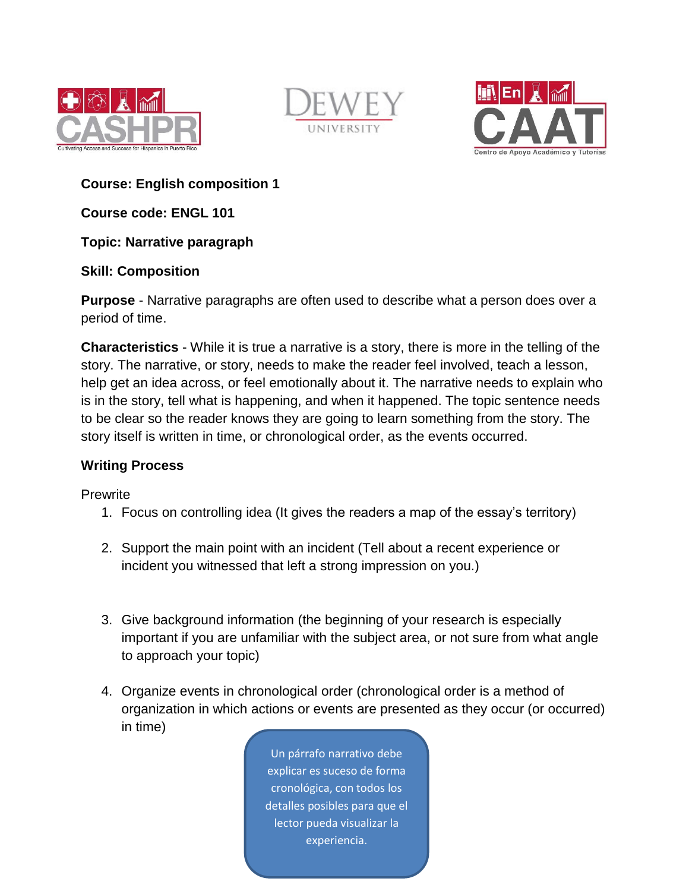





**Course: English composition 1**

**Course code: ENGL 101**

**Topic: Narrative paragraph** 

## **Skill: Composition**

**Purpose** - Narrative paragraphs are often used to describe what a person does over a period of time.

**Characteristics** - While it is true a narrative is a story, there is more in the telling of the story. The narrative, or story, needs to make the reader feel involved, teach a lesson, help get an idea across, or feel emotionally about it. The narrative needs to explain who is in the story, tell what is happening, and when it happened. The topic sentence needs to be clear so the reader knows they are going to learn something from the story. The story itself is written in time, or chronological order, as the events occurred.

### **Writing Process**

**Prewrite** 

- 1. Focus on controlling idea (It gives the readers a map of the essay's territory)
- 2. Support the main point with an incident (Tell about a recent experience or incident you witnessed that left a strong impression on you.)
- 3. Give background information (the beginning of your research is especially important if you are unfamiliar with the subject area, or not sure from what angle to approach your topic)
- 4. Organize events in chronological order (chronological order is a method of organization in which actions or events are presented as they occur (or occurred) in time)

Un párrafo narrativo debe explicar es suceso de forma cronológica, con todos los detalles posibles para que el lector pueda visualizar la experiencia.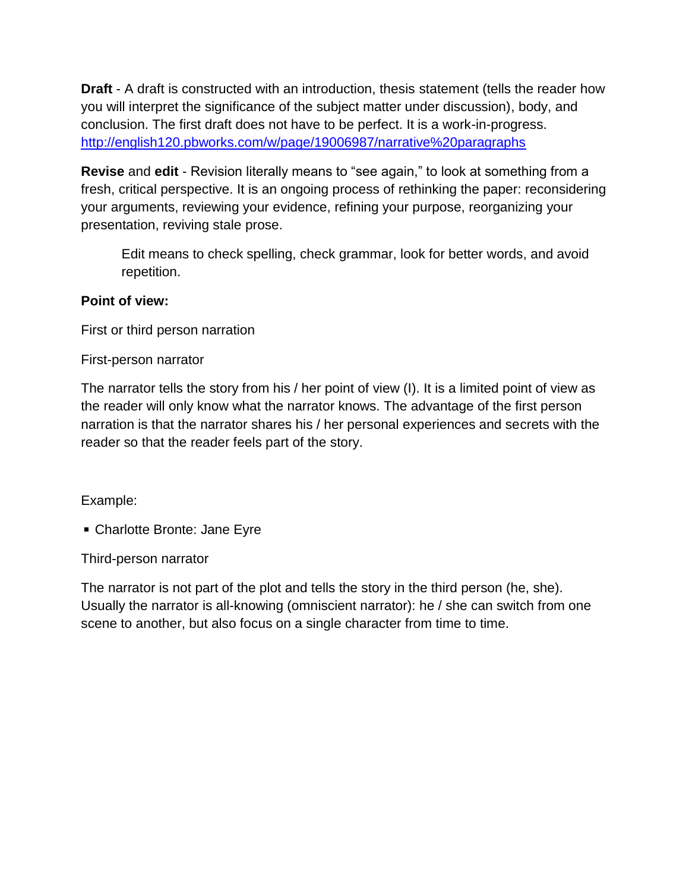**Draft** - A draft is constructed with an introduction, thesis statement (tells the reader how you will interpret the significance of the subject matter under discussion), body, and conclusion. The first draft does not have to be perfect. It is a work-in-progress. <http://english120.pbworks.com/w/page/19006987/narrative%20paragraphs>

**Revise** and **edit** - Revision literally means to "see again," to look at something from a fresh, critical perspective. It is an ongoing process of rethinking the paper: reconsidering your arguments, reviewing your evidence, refining your purpose, reorganizing your presentation, reviving stale prose.

Edit means to check spelling, check grammar, look for better words, and avoid repetition.

# **Point of view:**

First or third person narration

First-person narrator

The narrator tells the story from his / her point of view (I). It is a limited point of view as the reader will only know what the narrator knows. The advantage of the first person narration is that the narrator shares his / her personal experiences and secrets with the reader so that the reader feels part of the story.

# Example:

■ Charlotte Bronte: Jane Eyre

Third-person narrator

The narrator is not part of the plot and tells the story in the third person (he, she). Usually the narrator is all-knowing (omniscient narrator): he / she can switch from one scene to another, but also focus on a single character from time to time.